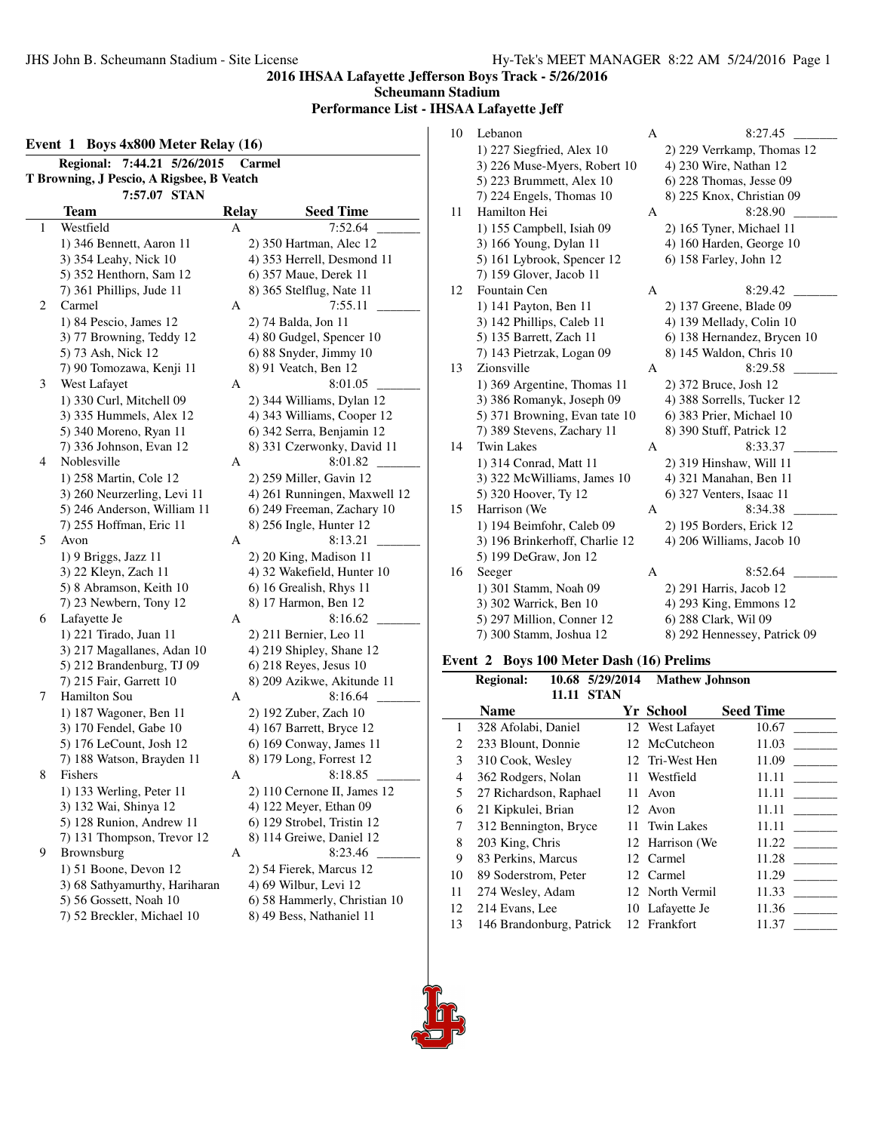**Scheumann Stadium**

**Performance List - IHSAA Lafayette Jeff**

|   | 7:44.21 5/26/2015<br><b>Regional:</b>     |       | Carmel                       |
|---|-------------------------------------------|-------|------------------------------|
|   | T Browning, J Pescio, A Rigsbee, B Veatch |       |                              |
|   | 7:57.07 STAN                              |       |                              |
|   | Team                                      | Relay | <b>Seed Time</b>             |
| 1 | Westfield                                 | А     | 7:52.64                      |
|   | 1) 346 Bennett, Aaron 11                  |       | 2) 350 Hartman, Alec 12      |
|   | 3) 354 Leahy, Nick 10                     |       | 4) 353 Herrell, Desmond 11   |
|   | 5) 352 Henthorn, Sam 12                   |       | 6) 357 Maue, Derek 11        |
|   | 7) 361 Phillips, Jude 11                  |       | 8) 365 Stelflug, Nate 11     |
| 2 | Carmel                                    | А     | 7:55.11                      |
|   | 1) 84 Pescio, James 12                    |       | 2) 74 Balda, Jon 11          |
|   | 3) 77 Browning, Teddy 12                  |       | 4) 80 Gudgel, Spencer 10     |
|   | 5) 73 Ash, Nick 12                        |       | 6) 88 Snyder, Jimmy 10       |
|   | 7) 90 Tomozawa, Kenji 11                  |       | 8) 91 Veatch, Ben 12         |
| 3 | West Lafayet                              | A     | 8:01.05                      |
|   | 1) 330 Curl, Mitchell 09                  |       | 2) 344 Williams, Dylan 12    |
|   | 3) 335 Hummels, Alex 12                   |       | 4) 343 Williams, Cooper 12   |
|   | 5) 340 Moreno, Ryan 11                    |       | 6) 342 Serra, Benjamin 12    |
|   | 7) 336 Johnson, Evan 12                   |       | 8) 331 Czerwonky, David 11   |
| 4 | Noblesville                               | A     | 8:01.82                      |
|   | 1) 258 Martin, Cole 12                    |       | 2) 259 Miller, Gavin 12      |
|   | 3) 260 Neurzerling, Levi 11               |       | 4) 261 Runningen, Maxwell 12 |
|   | 5) 246 Anderson, William 11               |       | 6) 249 Freeman, Zachary 10   |
|   | 7) 255 Hoffman, Eric 11                   |       | 8) 256 Ingle, Hunter 12      |
| 5 | Avon                                      | A     | 8:13.21                      |
|   | 1) 9 Briggs, Jazz 11                      |       | 2) 20 King, Madison 11       |
|   | 3) 22 Kleyn, Zach 11                      |       | 4) 32 Wakefield, Hunter 10   |
|   | 5) 8 Abramson, Keith 10                   |       | 6) 16 Grealish, Rhys 11      |
|   | 7) 23 Newbern, Tony 12                    |       | 8) 17 Harmon, Ben 12         |
| 6 | Lafayette Je                              | А     | 8:16.62                      |
|   | 1) 221 Tirado, Juan 11                    |       | 2) 211 Bernier, Leo 11       |
|   | 3) 217 Magallanes, Adan 10                |       | 4) 219 Shipley, Shane 12     |
|   | 5) 212 Brandenburg, TJ 09                 |       | 6) 218 Reyes, Jesus 10       |
|   | 7) 215 Fair, Garrett 10                   |       | 8) 209 Azikwe, Akitunde 11   |
| 7 | <b>Hamilton Sou</b>                       | A     | 8:16.64                      |
|   | 1) 187 Wagoner, Ben 11                    |       | 2) 192 Zuber, Zach 10        |
|   | 3) 170 Fendel, Gabe 10                    |       | 4) 167 Barrett, Bryce 12     |
|   | 5) 176 LeCount, Josh 12                   |       | 6) 169 Conway, James 11      |
|   | 7) 188 Watson, Brayden 11                 |       | 8) 179 Long, Forrest 12      |
| 8 | Fishers                                   | A     | 8:18.85                      |
|   | 1) 133 Werling, Peter 11                  |       | 2) 110 Cernone II, James 12  |
|   | 3) 132 Wai, Shinya 12                     |       | 4) 122 Meyer, Ethan 09       |
|   | 5) 128 Runion, Andrew 11                  |       | 6) 129 Strobel, Tristin 12   |
|   | 7) 131 Thompson, Trevor 12                |       | 8) 114 Greiwe, Daniel 12     |
| 9 | Brownsburg                                | A     | 8:23.46                      |
|   | 1) 51 Boone, Devon 12                     |       | 2) 54 Fierek, Marcus 12      |
|   | 3) 68 Sathyamurthy, Hariharan             |       | 4) 69 Wilbur, Levi 12        |
|   | 5) 56 Gossett, Noah 10                    |       | 6) 58 Hammerly, Christian 10 |
|   | 7) 52 Breckler, Michael 10                |       | 8) 49 Bess, Nathaniel 11     |
|   |                                           |       |                              |

| 10 | Lebanon                        | A | 8:27.45                      |
|----|--------------------------------|---|------------------------------|
|    | 1) 227 Siegfried, Alex 10      |   | 2) 229 Verrkamp, Thomas 12   |
|    | 3) 226 Muse-Myers, Robert 10   |   | 4) 230 Wire, Nathan 12       |
|    | 5) 223 Brummett, Alex 10       |   | 6) 228 Thomas, Jesse 09      |
|    | 7) 224 Engels, Thomas 10       |   | 8) 225 Knox, Christian 09    |
| 11 | Hamilton Hei                   | A | 8:28.90                      |
|    | 1) 155 Campbell, Isiah 09      |   | 2) 165 Tyner, Michael 11     |
|    | 3) 166 Young, Dylan 11         |   | 4) 160 Harden, George 10     |
|    | 5) 161 Lybrook, Spencer 12     |   | 6) 158 Farley, John 12       |
|    | 7) 159 Glover, Jacob 11        |   |                              |
| 12 | Fountain Cen                   | A | 8:29.42                      |
|    | 1) 141 Payton, Ben 11          |   | 2) 137 Greene, Blade 09      |
|    | 3) 142 Phillips, Caleb 11      |   | 4) 139 Mellady, Colin 10     |
|    | 5) 135 Barrett, Zach 11        |   | 6) 138 Hernandez, Brycen 10  |
|    | 7) 143 Pietrzak, Logan 09      |   | 8) 145 Waldon, Chris 10      |
| 13 | Zionsville                     | A | 8:29.58                      |
|    | 1) 369 Argentine, Thomas 11    |   | 2) 372 Bruce, Josh 12        |
|    | 3) 386 Romanyk, Joseph 09      |   | 4) 388 Sorrells, Tucker 12   |
|    | 5) 371 Browning, Evan tate 10  |   | 6) 383 Prier, Michael 10     |
|    | 7) 389 Stevens, Zachary 11     |   | 8) 390 Stuff, Patrick 12     |
| 14 | <b>Twin Lakes</b>              | A | 8:33.37                      |
|    | 1) 314 Conrad, Matt 11         |   | 2) 319 Hinshaw, Will 11      |
|    | 3) 322 McWilliams, James 10    |   | 4) 321 Manahan, Ben 11       |
|    | 5) 320 Hoover, Ty 12           |   | 6) 327 Venters, Isaac 11     |
| 15 | Harrison (We                   | A | 8:34.38                      |
|    | 1) 194 Beimfohr, Caleb 09      |   | 2) 195 Borders, Erick 12     |
|    | 3) 196 Brinkerhoff, Charlie 12 |   | 4) 206 Williams, Jacob 10    |
|    | 5) 199 DeGraw, Jon 12          |   |                              |
| 16 | Seeger                         | A | 8:52.64                      |
|    | 1) 301 Stamm, Noah 09          |   | 2) 291 Harris, Jacob 12      |
|    | 3) 302 Warrick, Ben 10         |   | 4) 293 King, Emmons 12       |
|    | 5) 297 Million, Conner 12      |   | 6) 288 Clark, Wil 09         |
|    | 7) 300 Stamm, Joshua 12        |   | 8) 292 Hennessey, Patrick 09 |

# **Event 2 Boys 100 Meter Dash (16) Prelims**

|    | <b>Regional:</b>         |       | 10.68 5/29/2014 | <b>Mathew Johnson</b> |                  |  |
|----|--------------------------|-------|-----------------|-----------------------|------------------|--|
|    |                          | 11.11 | <b>STAN</b>     |                       |                  |  |
|    | <b>Name</b>              |       |                 | Yr School             | <b>Seed Time</b> |  |
| 1  | 328 Afolabi, Daniel      |       |                 | 12 West Lafayet       | 10.67            |  |
| 2  | 233 Blount, Donnie       |       |                 | 12 McCutcheon         | 11.03            |  |
| 3  | 310 Cook, Wesley         |       |                 | 12 Tri-West Hen       | 11.09            |  |
| 4  | 362 Rodgers, Nolan       |       |                 | 11 Westfield          | 11.11            |  |
| 5  | 27 Richardson, Raphael   |       | 11              | Avon                  | 11.11            |  |
| 6  | 21 Kipkulei, Brian       |       |                 | 12 Avon               | 11.11            |  |
| 7  | 312 Bennington, Bryce    |       |                 | 11 Twin Lakes         | 11.11            |  |
| 8  | 203 King, Chris          |       |                 | 12 Harrison (We       | 11.22            |  |
| 9  | 83 Perkins, Marcus       |       |                 | 12 Carmel             | 11.28            |  |
| 10 | 89 Soderstrom, Peter     |       |                 | 12 Carmel             | 11.29            |  |
| 11 | 274 Wesley, Adam         |       |                 | 12 North Vermil       | 11.33            |  |
| 12 | 214 Evans, Lee           |       |                 | 10 Lafayette Je       | 11.36            |  |
| 13 | 146 Brandonburg, Patrick |       |                 | 12 Frankfort          | 11.37            |  |
|    |                          |       |                 |                       |                  |  |

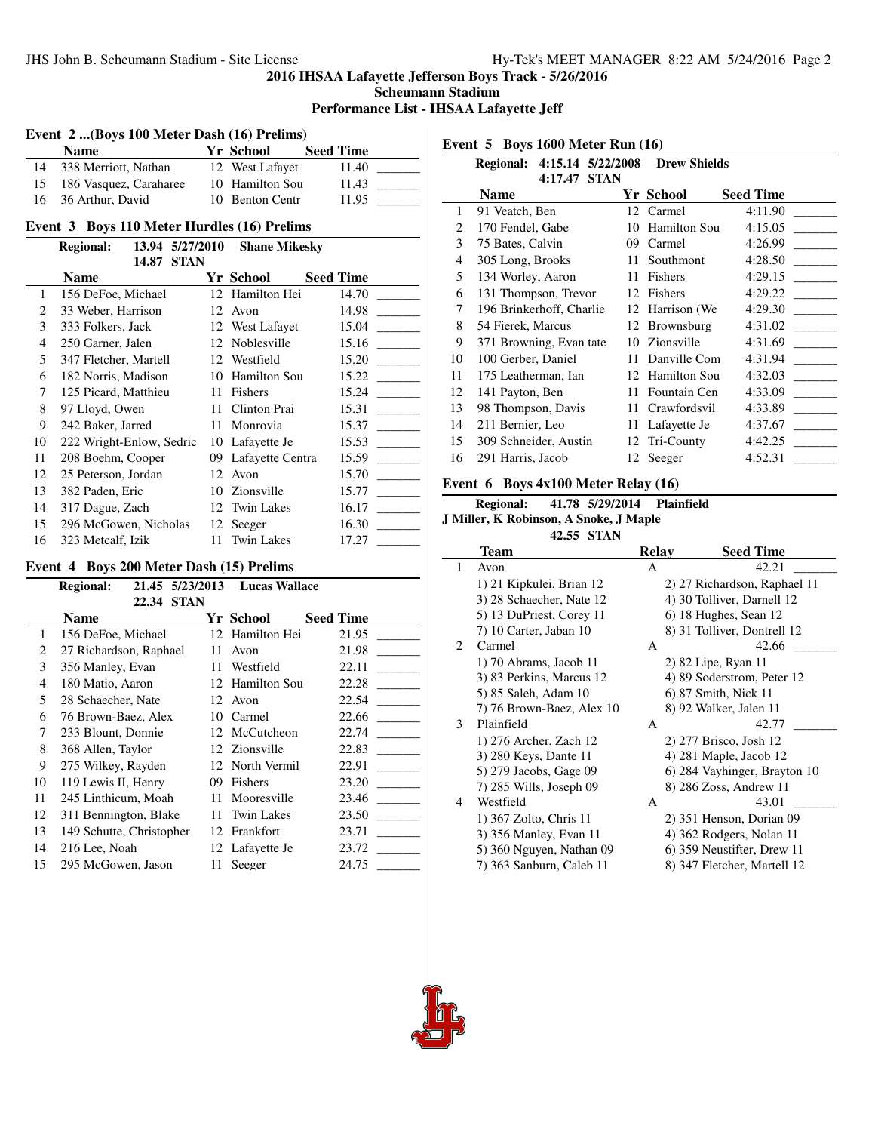**Scheumann Stadium**

#### **Performance List - IHSAA Lafayette Jeff**

# **Event 2 ...(Boys 100 Meter Dash (16) Prelims)**

| Name                      | <b>Yr School</b> | <b>Seed Time</b> |
|---------------------------|------------------|------------------|
| 14 338 Merriott, Nathan   | 12 West Lafavet  | 11.40            |
| 15 186 Vasquez, Caraharee | 10 Hamilton Sou  | 11.43            |
| 16 36 Arthur, David       | 10 Benton Centr  | 11.95            |

#### **Event 3 Boys 110 Meter Hurdles (16) Prelims**

|                             | <b>Regional:</b>         | 13.94 | 5/27/2010   | <b>Shane Mikesky</b> |                  |
|-----------------------------|--------------------------|-------|-------------|----------------------|------------------|
|                             |                          | 14.87 | <b>STAN</b> |                      |                  |
|                             | <b>Name</b>              |       |             | Yr School            | <b>Seed Time</b> |
| 1                           | 156 DeFoe, Michael       |       |             | 12 Hamilton Hei      | 14.70            |
| $\mathcal{D}_{\mathcal{L}}$ | 33 Weber, Harrison       |       |             | 12 Avon              | 14.98            |
| 3                           | 333 Folkers, Jack        |       |             | 12 West Lafayet      | 15.04            |
| 4                           | 250 Garner, Jalen        |       |             | 12 Noblesville       | 15.16            |
| 5                           | 347 Fletcher, Martell    |       |             | 12 Westfield         | 15.20            |
| 6                           | 182 Norris, Madison      |       | 10          | <b>Hamilton Sou</b>  | 15.22            |
| 7                           | 125 Picard, Matthieu     |       | 11          | Fishers              | 15.24            |
| 8                           | 97 Lloyd, Owen           |       | 11          | Clinton Prai         | 15.31            |
| 9                           | 242 Baker, Jarred        |       | 11          | Monrovia             | 15.37            |
| 10                          | 222 Wright-Enlow, Sedric |       | 10          | Lafayette Je         | 15.53            |
| 11                          | 208 Boehm, Cooper        |       | 09          | Lafayette Centra     | 15.59            |
| 12                          | 25 Peterson, Jordan      |       | 12          | Avon                 | 15.70            |
| 13                          | 382 Paden, Eric          |       | 10          | Zionsville           | 15.77            |
| 14                          | 317 Dague, Zach          |       | 12          | Twin Lakes           | 16.17            |
| 15                          | 296 McGowen, Nicholas    |       |             | 12 Seeger            | 16.30            |
| 16                          | 323 Metcalf, Izik        |       | 11          | <b>Twin Lakes</b>    | 17.27            |

#### **Event 4 Boys 200 Meter Dash (15) Prelims**

|                | <b>Regional:</b>         | 21.45 5/23/2013 | <b>Lucas Wallace</b> |                  |
|----------------|--------------------------|-----------------|----------------------|------------------|
|                | 22.34                    | <b>STAN</b>     |                      |                  |
|                | Name                     |                 | Yr School            | <b>Seed Time</b> |
| 1              | 156 DeFoe, Michael       | 12              | Hamilton Hei         | 21.95            |
| 2              | 27 Richardson, Raphael   | 11              | Avon                 | 21.98            |
| 3              | 356 Manley, Evan         | 11              | Westfield            | 22.11            |
| $\overline{4}$ | 180 Matio, Aaron         | 12              | <b>Hamilton Sou</b>  | 22.28            |
| 5              | 28 Schaecher, Nate       |                 | 12 Avon              | 22.54            |
| 6              | 76 Brown-Baez, Alex      | 10              | Carmel               | 22.66            |
| 7              | 233 Blount, Donnie       |                 | 12 McCutcheon        | 22.74            |
| 8              | 368 Allen, Taylor        |                 | 12 Zionsville        | 22.83            |
| 9              | 275 Wilkey, Rayden       | 12              | North Vermil         | 22.91            |
| 10             | 119 Lewis II, Henry      | 09              | Fishers              | 23.20            |
| 11             | 245 Linthicum, Moah      | 11              | Mooresville          | 23.46            |
| 12             | 311 Bennington, Blake    | 11              | <b>Twin Lakes</b>    | 23.50            |
| 13             | 149 Schutte, Christopher | 12.             | Frankfort            | 23.71            |
| 14             | 216 Lee, Noah            | 12              | Lafayette Je         | 23.72            |
| 15             | 295 McGowen, Jason       | 11              | Seeger               | 24.75            |

**Event 5 Boys 1600 Meter Run (16)**

|    | Regional: 4:15.14 5/22/2008 |             | <b>Drew Shields</b> |                  |
|----|-----------------------------|-------------|---------------------|------------------|
|    | 4:17.47<br><b>Name</b>      | <b>STAN</b> | Yr School           | <b>Seed Time</b> |
| 1  | 91 Veatch, Ben              | 12          | Carmel              | 4:11.90          |
| 2  | 170 Fendel, Gabe            | 10          | <b>Hamilton Sou</b> | 4:15.05          |
| 3  | 75 Bates, Calvin            | 09          | Carmel              | 4:26.99          |
| 4  | 305 Long, Brooks            | 11          | Southmont           | 4:28.50          |
| 5  | 134 Worley, Aaron           | 11          | Fishers             | 4:29.15          |
| 6  | 131 Thompson, Trevor        | 12          | Fishers             | 4:29.22          |
| 7  | 196 Brinkerhoff, Charlie    | 12          | Harrison (We        | 4:29.30          |
| 8  | 54 Fierek, Marcus           | 12          | Brownsburg          | 4:31.02          |
| 9  | 371 Browning, Evan tate     | 10          | Zionsville          | 4:31.69          |
| 10 | 100 Gerber, Daniel          | 11          | Danville Com        | 4:31.94          |
| 11 | 175 Leatherman, Ian         | 12          | <b>Hamilton Sou</b> | 4:32.03          |
| 12 | 141 Payton, Ben             | 11          | Fountain Cen        | 4:33.09          |
| 13 | 98 Thompson, Davis          | 11          | Crawfordsvil        | 4:33.89          |
| 14 | 211 Bernier, Leo            | 11          | Lafayette Je        | 4:37.67          |
| 15 | 309 Schneider, Austin       | 12          | Tri-County          | 4:42.25          |
| 16 | 291 Harris, Jacob           |             | 12 Seeger           | 4:52.31          |

### **Event 6 Boys 4x100 Meter Relay (16)**

# **Regional: 41.78 5/29/2014 Plainfield**

#### **J Miller, K Robinson, A Snoke, J Maple 42.55 STAN**

|              | 42.55 SIAN                |       |                              |
|--------------|---------------------------|-------|------------------------------|
|              | Team                      | Relay | <b>Seed Time</b>             |
| $\mathbf{1}$ | Avon                      | A     | 42.21                        |
|              | 1) 21 Kipkulei, Brian 12  |       | 2) 27 Richardson, Raphael 11 |
|              | 3) 28 Schaecher, Nate 12  |       | 4) 30 Tolliver, Darnell 12   |
|              | 5) 13 DuPriest, Corey 11  |       | 6) 18 Hughes, Sean 12        |
|              | 7) 10 Carter, Jaban 10    |       | 8) 31 Tolliver, Dontrell 12  |
| 2            | Carmel                    | A     | 42.66                        |
|              | 1) 70 Abrams, Jacob 11    |       | 2) 82 Lipe, Ryan 11          |
|              | 3) 83 Perkins, Marcus 12  |       | 4) 89 Soderstrom, Peter 12   |
|              | 5) 85 Saleh, Adam 10      |       | 6) 87 Smith, Nick 11         |
|              | 7) 76 Brown-Baez, Alex 10 |       | 8) 92 Walker, Jalen 11       |
| 3            | Plainfield                | A     | 42.77                        |
|              | 1) 276 Archer, Zach 12    |       | 2) 277 Brisco, Josh 12       |
|              | 3) 280 Keys, Dante 11     |       | 4) 281 Maple, Jacob 12       |
|              | 5) 279 Jacobs, Gage 09    |       | 6) 284 Vayhinger, Brayton 10 |
|              | 7) 285 Wills, Joseph 09   |       | 8) 286 Zoss, Andrew 11       |
| 4            | Westfield                 | A     | 43.01                        |
|              | 1) 367 Zolto, Chris 11    |       | 2) 351 Henson, Dorian 09     |
|              | 3) 356 Manley, Evan 11    |       | 4) 362 Rodgers, Nolan 11     |
|              | 5) 360 Nguyen, Nathan 09  |       | 6) 359 Neustifter, Drew 11   |
|              | 7) 363 Sanburn, Caleb 11  |       | 8) 347 Fletcher, Martell 12  |

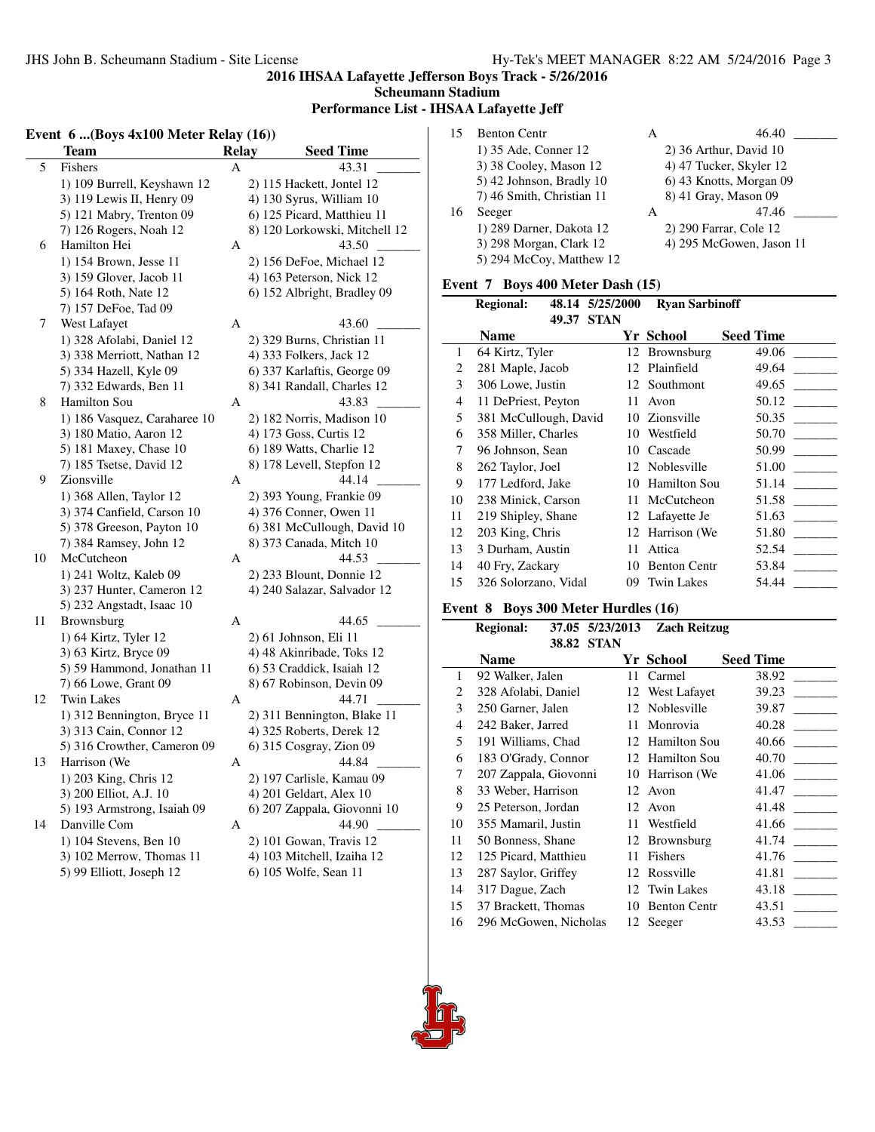**Scheumann Stadium Performance List - IHSAA Lafayette Jeff**

#### **Event 6 ...(Boys 4x100 Meter Relay (16))**

|    | Team                         | <b>Relay</b> | <b>Seed Time</b>              |
|----|------------------------------|--------------|-------------------------------|
| 5  | Fishers                      | А            | 43.31                         |
|    | 1) 109 Burrell, Keyshawn 12  |              | 2) 115 Hackett, Jontel 12     |
|    | 3) 119 Lewis II, Henry 09    |              | 4) 130 Syrus, William 10      |
|    | 5) 121 Mabry, Trenton 09     |              | 6) 125 Picard, Matthieu 11    |
|    | 7) 126 Rogers, Noah 12       |              | 8) 120 Lorkowski, Mitchell 12 |
| 6  | Hamilton Hei                 | А            | 43.50                         |
|    | 1) 154 Brown, Jesse 11       |              | 2) 156 DeFoe, Michael 12      |
|    | 3) 159 Glover, Jacob 11      |              | 4) 163 Peterson, Nick 12      |
|    | 5) 164 Roth, Nate 12         |              | 6) 152 Albright, Bradley 09   |
|    | 7) 157 DeFoe, Tad 09         |              |                               |
| 7  | West Lafayet                 | А            | 43.60                         |
|    | 1) 328 Afolabi, Daniel 12    |              | 2) 329 Burns, Christian 11    |
|    | 3) 338 Merriott, Nathan 12   |              | 4) 333 Folkers, Jack 12       |
|    | 5) 334 Hazell, Kyle 09       |              | 6) 337 Karlaftis, George 09   |
|    | 7) 332 Edwards, Ben 11       |              | 8) 341 Randall, Charles 12    |
| 8  | Hamilton Sou                 | А            | 43.83                         |
|    | 1) 186 Vasquez, Caraharee 10 |              | 2) 182 Norris, Madison 10     |
|    | 3) 180 Matio, Aaron 12       |              | 4) 173 Goss, Curtis 12        |
|    | 5) 181 Maxey, Chase 10       |              | 6) 189 Watts, Charlie 12      |
|    | 7) 185 Tsetse, David 12      |              | 8) 178 Levell, Stepfon 12     |
| 9  | Zionsville                   | А            | 44.14                         |
|    | 1) 368 Allen, Taylor 12      |              | 2) 393 Young, Frankie 09      |
|    | 3) 374 Canfield, Carson 10   |              | 4) 376 Conner, Owen 11        |
|    | 5) 378 Greeson, Payton 10    |              | 6) 381 McCullough, David 10   |
|    | 7) 384 Ramsey, John 12       |              | 8) 373 Canada, Mitch 10       |
| 10 | McCutcheon                   | А            | 44.53                         |
|    | 1) 241 Woltz, Kaleb 09       |              | 2) 233 Blount, Donnie 12      |
|    | 3) 237 Hunter, Cameron 12    |              | 4) 240 Salazar, Salvador 12   |
|    | 5) 232 Angstadt, Isaac 10    |              |                               |
| 11 | Brownsburg                   | A            | 44.65                         |
|    | 1) 64 Kirtz, Tyler 12        |              | 2) 61 Johnson, Eli 11         |
|    | 3) 63 Kirtz, Bryce 09        |              | 4) 48 Akinribade, Toks 12     |
|    | 5) 59 Hammond, Jonathan 11   |              | 6) 53 Craddick, Isaiah 12     |
|    | 7) 66 Lowe, Grant 09         |              | 8) 67 Robinson, Devin 09      |
| 12 | <b>Twin Lakes</b>            | A            | 44.71                         |
|    | 1) 312 Bennington, Bryce 11  |              | 2) 311 Bennington, Blake 11   |
|    | 3) 313 Cain, Connor 12       |              | 4) 325 Roberts, Derek 12      |
|    | 5) 316 Crowther, Cameron 09  |              | 6) 315 Cosgray, Zion 09       |
| 13 | Harrison (We                 | А            | 44.84                         |
|    | 1) 203 King, Chris 12        |              | 2) 197 Carlisle, Kamau 09     |
|    | 3) 200 Elliot, A.J. 10       |              | 4) 201 Geldart, Alex 10       |
|    | 5) 193 Armstrong, Isaiah 09  |              | 6) 207 Zappala, Giovonni 10   |
| 14 | Danville Com                 | A            | 44.90                         |
|    | 1) 104 Stevens, Ben 10       |              | 2) 101 Gowan, Travis 12       |
|    | 3) 102 Merrow, Thomas 11     |              | 4) 103 Mitchell, Izaiha 12    |
|    | 5) 99 Elliott, Joseph 12     |              | 6) 105 Wolfe, Sean 11         |
|    |                              |              |                               |

| 15 | <b>Benton Centr</b>       | А | 46.40                    |
|----|---------------------------|---|--------------------------|
|    | 1) 35 Ade, Conner 12      |   | 2) 36 Arthur, David 10   |
|    | 3) 38 Cooley, Mason 12    |   | 4) 47 Tucker, Skyler 12  |
|    | 5) 42 Johnson, Bradly 10  |   | 6) 43 Knotts, Morgan 09  |
|    | 7) 46 Smith, Christian 11 |   | 8) 41 Gray, Mason 09     |
| 16 | Seeger                    | A | 47.46                    |
|    | 1) 289 Darner, Dakota 12  |   | 2) 290 Farrar, Cole 12   |
|    | 3) 298 Morgan, Clark 12   |   | 4) 295 McGowen, Jason 11 |
|    | 5) 294 McCoy, Matthew 12  |   |                          |

# **Event 7 Boys 400 Meter Dash (15)**

|    | <b>Regional:</b>      | 48.14 5/25/2000 | <b>Ryan Sarbinoff</b> |                  |
|----|-----------------------|-----------------|-----------------------|------------------|
|    | 49.37<br><b>Name</b>  | <b>STAN</b>     | Yr School             | <b>Seed Time</b> |
| 1  | 64 Kirtz, Tyler       |                 | 12 Brownsburg         | 49.06            |
| 2  | 281 Maple, Jacob      | 12              | Plainfield            | 49.64            |
| 3  | 306 Lowe, Justin      |                 | 12 Southmont          | 49.65            |
| 4  | 11 DePriest, Peyton   | 11              | Avon                  | 50.12            |
| 5  | 381 McCullough, David |                 | 10 Zionsville         | 50.35            |
| 6  | 358 Miller, Charles   | 10              | Westfield             | 50.70            |
| 7  | 96 Johnson, Sean      | 10              | Cascade               | 50.99            |
| 8  | 262 Taylor, Joel      |                 | 12 Noblesville        | 51.00            |
| 9  | 177 Ledford, Jake     | 10              | <b>Hamilton Sou</b>   | 51.14            |
| 10 | 238 Minick, Carson    | 11              | McCutcheon            | 51.58            |
| 11 | 219 Shipley, Shane    |                 | 12 Lafayette Je       | 51.63            |
| 12 | 203 King, Chris       | 12              | Harrison (We          | 51.80            |
| 13 | 3 Durham, Austin      | 11              | Attica                | 52.54            |
| 14 | 40 Fry, Zackary       | 10              | <b>Benton Centr</b>   | 53.84            |
| 15 | 326 Solorzano, Vidal  | 09              | <b>Twin Lakes</b>     | 54.44            |

#### **Event 8 Boys 300 Meter Hurdles (16)**

|    | <b>Regional:</b>      | 37.05 5/23/2013 | <b>Zach Reitzug</b> |                  |
|----|-----------------------|-----------------|---------------------|------------------|
|    | 38.82                 | STAN            |                     |                  |
|    | <b>Name</b>           |                 | Yr School           | <b>Seed Time</b> |
| 1  | 92 Walker, Jalen      | 11              | Carmel              | 38.92            |
| 2  | 328 Afolabi, Daniel   | 12              | West Lafayet        | 39.23            |
| 3  | 250 Garner, Jalen     | 12              | Noblesville         | 39.87            |
| 4  | 242 Baker, Jarred     | 11              | Monrovia            | 40.28            |
| 5  | 191 Williams, Chad    | 12              | <b>Hamilton Sou</b> | 40.66            |
| 6  | 183 O'Grady, Connor   | 12              | <b>Hamilton Sou</b> | 40.70            |
| 7  | 207 Zappala, Giovonni | 10              | Harrison (We        | 41.06            |
| 8  | 33 Weber, Harrison    | 12              | Avon                | 41.47            |
| 9  | 25 Peterson, Jordan   | 12              | Avon                | 41.48            |
| 10 | 355 Mamaril, Justin   | 11              | Westfield           | 41.66            |
| 11 | 50 Bonness, Shane     | 12              | Brownsburg          | 41.74            |
| 12 | 125 Picard, Matthieu  | 11              | Fishers             | 41.76            |
| 13 | 287 Saylor, Griffey   | 12              | Rossville           | 41.81            |
| 14 | 317 Dague, Zach       | 12              | <b>Twin Lakes</b>   | 43.18            |
| 15 | 37 Brackett, Thomas   | 10              | <b>Benton Centr</b> | 43.51            |
| 16 | 296 McGowen, Nicholas |                 | 12 Seeger           | 43.53            |



l.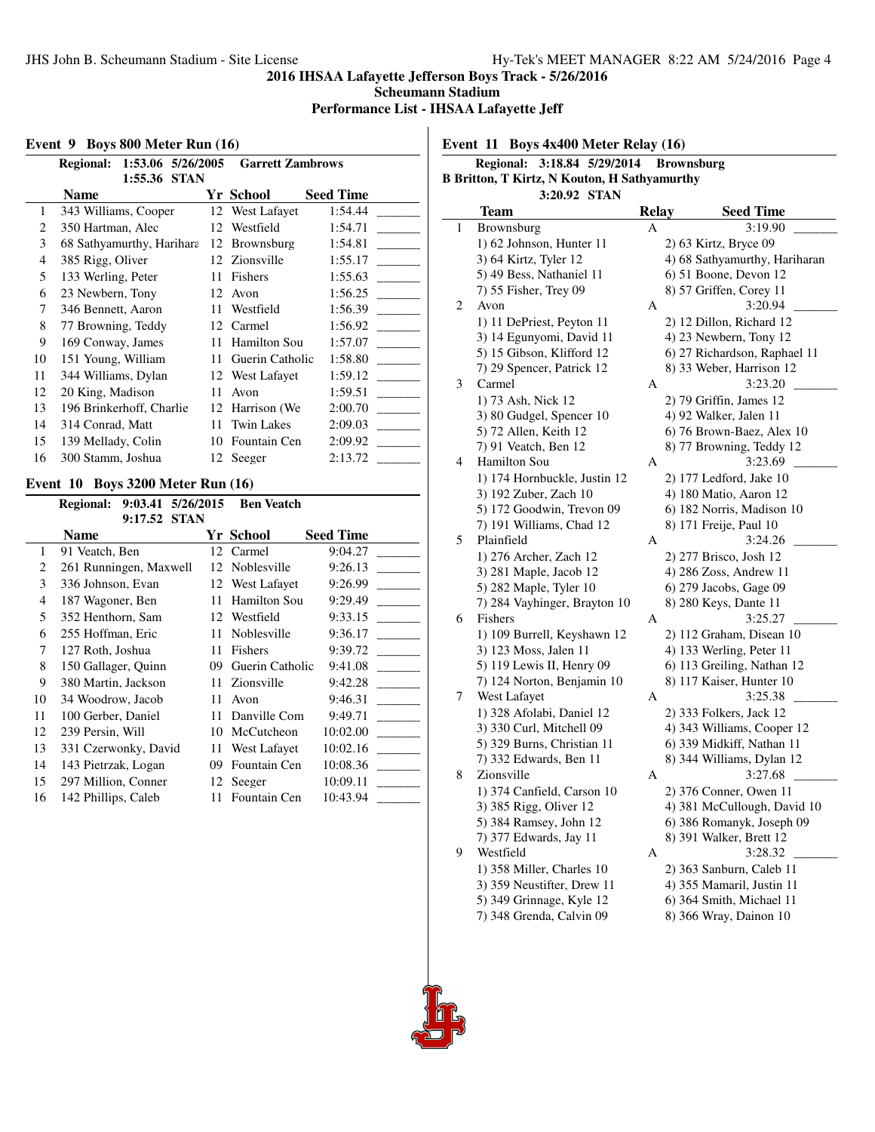**Scheumann Stadium**

**Performance List - IHSAA Lafayette Jeff**

# **Event 9 Boys 800 Meter Run (16)**

|    | 1:53.06 5/26/2005<br><b>Regional:</b> |    | <b>Garrett Zambrows</b> |                  |
|----|---------------------------------------|----|-------------------------|------------------|
|    | 1:55.36<br><b>STAN</b><br>Name        |    | Yr School               | <b>Seed Time</b> |
| 1  | 343 Williams, Cooper                  | 12 | West Lafayet            | 1:54.44          |
| 2  | 350 Hartman, Alec                     | 12 | Westfield               | 1:54.71          |
| 3  | 68 Sathyamurthy, Harihara             | 12 | Brownsburg              | 1:54.81          |
| 4  | 385 Rigg, Oliver                      |    | 12 Zionsville           | 1:55.17          |
| 5  | 133 Werling, Peter                    | 11 | Fishers                 | 1:55.63          |
| 6  | 23 Newbern, Tony                      | 12 | Avon                    | 1:56.25          |
| 7  | 346 Bennett, Aaron                    | 11 | Westfield               | 1:56.39          |
| 8  | 77 Browning, Teddy                    | 12 | Carmel                  | 1:56.92          |
| 9  | 169 Conway, James                     | 11 | Hamilton Sou            | 1:57.07          |
| 10 | 151 Young, William                    | 11 | Guerin Catholic         | 1:58.80          |
| 11 | 344 Williams, Dylan                   | 12 | West Lafayet            | 1:59.12          |
| 12 | 20 King, Madison                      | 11 | Avon                    | 1:59.51          |
| 13 | 196 Brinkerhoff, Charlie              | 12 | Harrison (We)           | 2:00.70          |
| 14 | 314 Conrad, Matt                      | 11 | <b>Twin Lakes</b>       | 2:09.03          |
| 15 | 139 Mellady, Colin                    | 10 | Fountain Cen            | 2:09.92          |
| 16 | 300 Stamm, Joshua                     |    | 12 Seeger               | 2:13.72          |

#### **Event 10 Boys 3200 Meter Run (16)**

| <b>Regional:</b> |                                                                                                                                                                                                                                                           |                                                                                                              | <b>Ben Veatch</b>                                                                                                 |                  |
|------------------|-----------------------------------------------------------------------------------------------------------------------------------------------------------------------------------------------------------------------------------------------------------|--------------------------------------------------------------------------------------------------------------|-------------------------------------------------------------------------------------------------------------------|------------------|
|                  |                                                                                                                                                                                                                                                           |                                                                                                              |                                                                                                                   |                  |
| <b>Name</b>      |                                                                                                                                                                                                                                                           |                                                                                                              |                                                                                                                   | <b>Seed Time</b> |
|                  |                                                                                                                                                                                                                                                           |                                                                                                              | Carmel                                                                                                            | 9:04.27          |
|                  |                                                                                                                                                                                                                                                           |                                                                                                              | Noblesville                                                                                                       | 9:26.13          |
|                  |                                                                                                                                                                                                                                                           |                                                                                                              | West Lafayet                                                                                                      | 9:26.99          |
|                  |                                                                                                                                                                                                                                                           |                                                                                                              | Hamilton Sou                                                                                                      | 9:29.49          |
|                  |                                                                                                                                                                                                                                                           |                                                                                                              | Westfield                                                                                                         | 9:33.15          |
|                  |                                                                                                                                                                                                                                                           |                                                                                                              | Noblesville                                                                                                       | 9:36.17          |
|                  |                                                                                                                                                                                                                                                           |                                                                                                              | Fishers                                                                                                           | 9:39.72          |
|                  |                                                                                                                                                                                                                                                           |                                                                                                              | Guerin Catholic                                                                                                   | 9:41.08          |
|                  |                                                                                                                                                                                                                                                           |                                                                                                              | Zionsville                                                                                                        | 9:42.28          |
|                  |                                                                                                                                                                                                                                                           |                                                                                                              | Avon                                                                                                              | 9:46.31          |
|                  |                                                                                                                                                                                                                                                           |                                                                                                              | Danville Com                                                                                                      | 9:49.71          |
|                  |                                                                                                                                                                                                                                                           |                                                                                                              | McCutcheon                                                                                                        | 10:02.00         |
|                  |                                                                                                                                                                                                                                                           |                                                                                                              | West Lafayet                                                                                                      | 10:02.16         |
|                  |                                                                                                                                                                                                                                                           |                                                                                                              | Fountain Cen                                                                                                      | 10:08.36         |
|                  |                                                                                                                                                                                                                                                           |                                                                                                              | Seeger                                                                                                            | 10:09.11         |
|                  |                                                                                                                                                                                                                                                           |                                                                                                              | Fountain Cen                                                                                                      | 10:43.94         |
|                  | 91 Veatch, Ben<br>336 Johnson, Evan<br>187 Wagoner, Ben<br>352 Henthorn, Sam<br>255 Hoffman, Eric<br>127 Roth, Joshua<br>380 Martin, Jackson<br>34 Woodrow, Jacob<br>100 Gerber, Daniel<br>239 Persin, Will<br>143 Pietrzak, Logan<br>142 Phillips, Caleb | 9:17.52 STAN<br>261 Runningen, Maxwell<br>150 Gallager, Quinn<br>331 Czerwonky, David<br>297 Million, Conner | 9:03.41 5/26/2015<br>12<br>12<br>12<br>11<br>12<br>11<br>11<br>09<br>11<br>11<br>11<br>10<br>11<br>09<br>12<br>11 | Yr School        |

**Event 11 Boys 4x400 Meter Relay (16)**

|                                                     | 3:18.84 5/29/2014<br><b>Brownsburg</b><br><b>Regional:</b> |       |  |                               |  |  |  |  |  |
|-----------------------------------------------------|------------------------------------------------------------|-------|--|-------------------------------|--|--|--|--|--|
| <b>B Britton, T Kirtz, N Kouton, H Sathyamurthy</b> |                                                            |       |  |                               |  |  |  |  |  |
| 3:20.92 STAN                                        |                                                            |       |  |                               |  |  |  |  |  |
|                                                     | Team                                                       | Relay |  | <b>Seed Time</b>              |  |  |  |  |  |
| 1                                                   | Brownsburg                                                 | А     |  | 3:19.90                       |  |  |  |  |  |
|                                                     | 1) 62 Johnson, Hunter 11                                   |       |  | 2) 63 Kirtz, Bryce 09         |  |  |  |  |  |
|                                                     | 3) 64 Kirtz, Tyler 12                                      |       |  | 4) 68 Sathyamurthy, Hariharan |  |  |  |  |  |
|                                                     | 5) 49 Bess, Nathaniel 11                                   |       |  | 6) 51 Boone, Devon 12         |  |  |  |  |  |
|                                                     | 7) 55 Fisher, Trey 09                                      |       |  | 8) 57 Griffen, Corey 11       |  |  |  |  |  |
| 2                                                   | Avon                                                       | А     |  | 3:20.94                       |  |  |  |  |  |
|                                                     | 1) 11 DePriest, Peyton 11                                  |       |  | 2) 12 Dillon, Richard 12      |  |  |  |  |  |
|                                                     | 3) 14 Egunyomi, David 11                                   |       |  | 4) 23 Newbern, Tony 12        |  |  |  |  |  |
|                                                     | 5) 15 Gibson, Klifford 12                                  |       |  | 6) 27 Richardson, Raphael 11  |  |  |  |  |  |
|                                                     | 7) 29 Spencer, Patrick 12                                  |       |  | 8) 33 Weber, Harrison 12      |  |  |  |  |  |
| 3                                                   | Carmel                                                     | A     |  | 3:23.20                       |  |  |  |  |  |
|                                                     | 1) 73 Ash, Nick 12                                         |       |  | 2) 79 Griffin, James 12       |  |  |  |  |  |
|                                                     | 3) 80 Gudgel, Spencer 10                                   |       |  | 4) 92 Walker, Jalen 11        |  |  |  |  |  |
|                                                     | 5) 72 Allen, Keith 12                                      |       |  | 6) 76 Brown-Baez, Alex 10     |  |  |  |  |  |
|                                                     | 7) 91 Veatch, Ben 12                                       |       |  | 8) 77 Browning, Teddy 12      |  |  |  |  |  |
| 4                                                   | Hamilton Sou                                               | А     |  | 3:23.69                       |  |  |  |  |  |
|                                                     | 1) 174 Hornbuckle, Justin 12                               |       |  | 2) 177 Ledford, Jake 10       |  |  |  |  |  |
|                                                     | 3) 192 Zuber, Zach 10                                      |       |  | 4) 180 Matio, Aaron 12        |  |  |  |  |  |
|                                                     | 5) 172 Goodwin, Trevon 09                                  |       |  | 6) 182 Norris, Madison 10     |  |  |  |  |  |
|                                                     | 7) 191 Williams, Chad 12                                   |       |  | 8) 171 Freije, Paul 10        |  |  |  |  |  |
| 5                                                   | Plainfield                                                 | A     |  | 3:24.26                       |  |  |  |  |  |
|                                                     | 1) 276 Archer, Zach 12                                     |       |  | 2) 277 Brisco, Josh 12        |  |  |  |  |  |
|                                                     | 3) 281 Maple, Jacob 12                                     |       |  | 4) 286 Zoss, Andrew 11        |  |  |  |  |  |
|                                                     | 5) 282 Maple, Tyler 10                                     |       |  | 6) 279 Jacobs, Gage 09        |  |  |  |  |  |
|                                                     | 7) 284 Vayhinger, Brayton 10                               |       |  | 8) 280 Keys, Dante 11         |  |  |  |  |  |
| 6                                                   | Fishers                                                    | А     |  | 3:25.27                       |  |  |  |  |  |
|                                                     | 1) 109 Burrell, Keyshawn 12                                |       |  | 2) 112 Graham, Disean 10      |  |  |  |  |  |
|                                                     | 3) 123 Moss, Jalen 11                                      |       |  | 4) 133 Werling, Peter 11      |  |  |  |  |  |
|                                                     | 5) 119 Lewis II, Henry 09                                  |       |  | 6) 113 Greiling, Nathan 12    |  |  |  |  |  |
|                                                     | 7) 124 Norton, Benjamin 10                                 |       |  | 8) 117 Kaiser, Hunter 10      |  |  |  |  |  |
| 7                                                   | West Lafayet                                               | A     |  | 3:25.38                       |  |  |  |  |  |
|                                                     | 1) 328 Afolabi, Daniel 12                                  |       |  | 2) 333 Folkers, Jack 12       |  |  |  |  |  |
|                                                     | 3) 330 Curl, Mitchell 09                                   |       |  | 4) 343 Williams, Cooper 12    |  |  |  |  |  |
|                                                     | 5) 329 Burns, Christian 11                                 |       |  | 6) 339 Midkiff, Nathan 11     |  |  |  |  |  |
|                                                     | 7) 332 Edwards, Ben 11                                     |       |  | 8) 344 Williams, Dylan 12     |  |  |  |  |  |
| 8                                                   | Zionsville                                                 | A     |  | 3:27.68                       |  |  |  |  |  |
|                                                     | 1) 374 Canfield, Carson 10                                 |       |  | 2) 376 Conner, Owen 11        |  |  |  |  |  |
|                                                     | 3) 385 Rigg, Oliver 12                                     |       |  | 4) 381 McCullough, David 10   |  |  |  |  |  |
|                                                     | 5) 384 Ramsey, John 12                                     |       |  | 6) 386 Romanyk, Joseph 09     |  |  |  |  |  |
|                                                     | 7) 377 Edwards, Jay 11                                     |       |  | 8) 391 Walker, Brett 12       |  |  |  |  |  |
| 9                                                   | Westfield                                                  | А     |  | 3:28.32                       |  |  |  |  |  |
|                                                     |                                                            |       |  |                               |  |  |  |  |  |
|                                                     | 1) 358 Miller, Charles 10                                  |       |  | 2) 363 Sanburn, Caleb 11      |  |  |  |  |  |
|                                                     | 3) 359 Neustifter, Drew 11                                 |       |  | 4) 355 Mamaril, Justin 11     |  |  |  |  |  |
|                                                     | 5) 349 Grinnage, Kyle 12                                   |       |  | 6) 364 Smith, Michael 11      |  |  |  |  |  |
|                                                     | 7) 348 Grenda, Calvin 09                                   |       |  | 8) 366 Wray, Dainon 10        |  |  |  |  |  |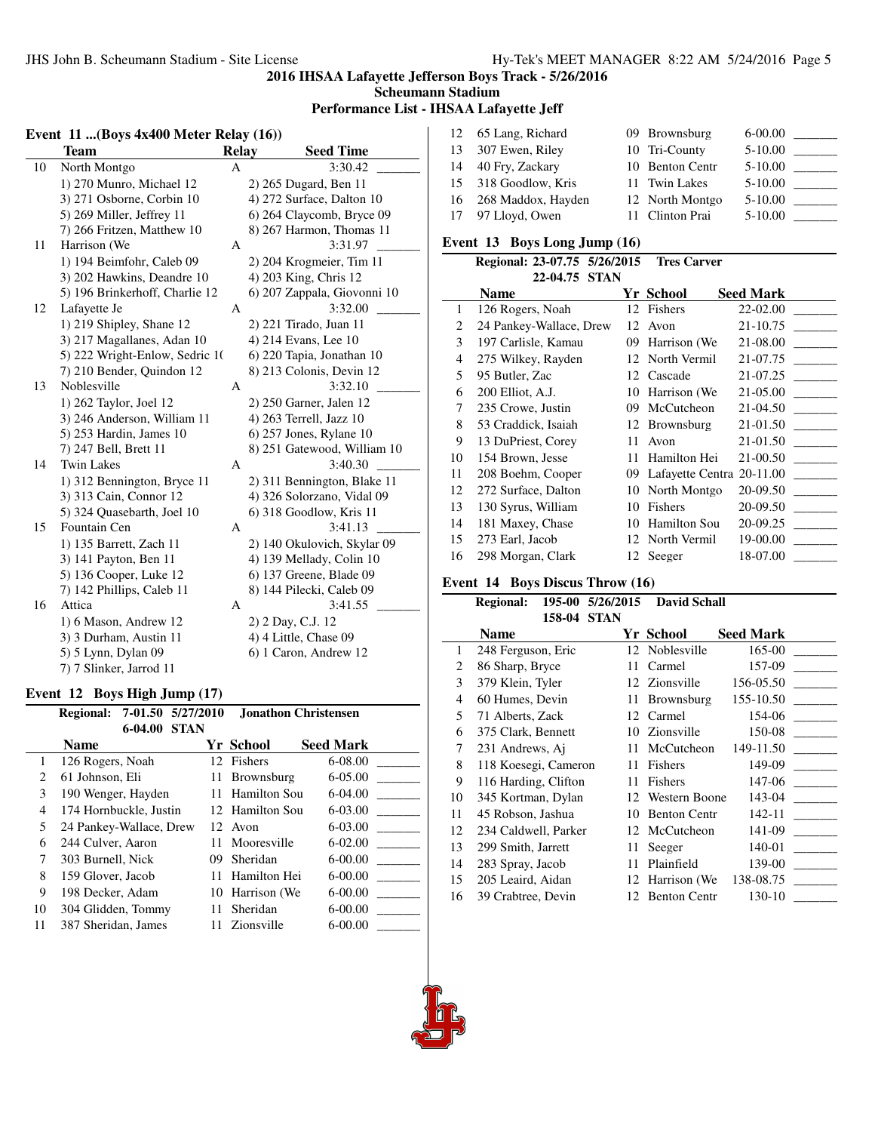#### **Scheumann Stadium**

#### **Performance List - IHSAA Lafayette Jeff**

### **Event 11 ...(Boys 4x400 Meter Relay (16)) Team Relay Seed Time** 10 North Montgo A 3:30.42 1) 270 Munro, Michael 12 2) 265 Dugard, Ben 11 3) 271 Osborne, Corbin 10 4) 272 Surface, Dalton 10 5) 269 Miller, Jeffrey 11 6) 264 Claycomb, Bryce 09 7) 266 Fritzen, Matthew 10 8) 267 Harmon, Thomas 11 11 Harrison (We A 3:31.97 1) 194 Beimfohr, Caleb 09 2) 204 Krogmeier, Tim 11 3) 202 Hawkins, Deandre 10 4) 203 King, Chris 12 5) 196 Brinkerhoff, Charlie 12 6) 207 Zappala, Giovonni 10 12 Lafayette Je A 3:32.00 \_ 1) 219 Shipley, Shane 12 2) 221 Tirado, Juan 11 3) 217 Magallanes, Adan 10 4) 214 Evans, Lee 10 5) 222 Wright-Enlow, Sedric 1(6) 220 Tapia, Jonathan 10 7) 210 Bender, Quindon 12 8) 213 Colonis, Devin 12 13 Noblesville A 3:32.10 1) 262 Taylor, Joel 12 2) 250 Garner, Jalen 12 3) 246 Anderson, William 11 4) 263 Terrell, Jazz 10 5) 253 Hardin, James 10 6) 257 Jones, Rylane 10 7) 247 Bell, Brett 11 8) 251 Gatewood, William 10 14 Twin Lakes A 3:40.30 1) 312 Bennington, Bryce 11 2) 311 Bennington, Blake 11 3) 313 Cain, Connor 12 4) 326 Solorzano, Vidal 09 5) 324 Quasebarth, Joel 10 6) 318 Goodlow, Kris 11 15 Fountain Cen A 3:41.13 1) 135 Barrett, Zach 11 2) 140 Okulovich, Skylar 09 3) 141 Payton, Ben 11 4) 139 Mellady, Colin 10<br>5) 136 Cooper, Luke 12 6) 137 Greene, Blade 09 6) 137 Greene, Blade 09 7) 142 Phillips, Caleb 11 8) 144 Pilecki, Caleb 09 16 Attica A 3:41.55 1) 6 Mason, Andrew 12 2) 2 Day, C.J. 12 3) 3 Durham, Austin 11 4) 4 Little, Chase 09 5) 5 Lynn, Dylan 09 6) 1 Caron, Andrew 12 7) 7 Slinker, Jarrod 11

#### **Event 12 Boys High Jump (17)**

|                               | 7-01.50 5/27/2010<br><b>Regional:</b> |    | <b>Jonathon Christensen</b> |                  |
|-------------------------------|---------------------------------------|----|-----------------------------|------------------|
|                               | 6-04.00<br><b>STAN</b><br><b>Name</b> |    | Yr School                   | <b>Seed Mark</b> |
| 1                             | 126 Rogers, Noah                      |    | 12 Fishers                  | $6-08.00$        |
| $\mathfrak{D}_{\mathfrak{p}}$ | 61 Johnson, Eli                       | 11 | Brownsburg                  | $6 - 05.00$      |
| 3                             | 190 Wenger, Hayden                    | 11 | Hamilton Sou                | $6-04.00$        |
| 4                             | 174 Hornbuckle, Justin                |    | 12 Hamilton Sou             | $6 - 03.00$      |
| 5                             | 24 Pankey-Wallace, Drew               |    | 12 Avon                     | $6 - 03.00$      |
| 6                             | 244 Culver, Aaron                     |    | 11 Mooresville              | $6-02.00$        |
| 7                             | 303 Burnell, Nick                     | 09 | Sheridan                    | $6 - 00.00$      |
| 8                             | 159 Glover, Jacob                     | 11 | Hamilton Hei                | $6-00.00$        |
| 9                             | 198 Decker, Adam                      | 10 | Harrison (We                | 6-00.00          |
| 10                            | 304 Glidden, Tommy                    | 11 | <b>Sheridan</b>             | $6-00.00$        |
| 11                            | 387 Sheridan, James                   |    | 11 Zionsville               | $6-00.00$        |

| 12 65 Lang, Richard   | 09 Brownsburg   | $6 - 00.00$ |                          |
|-----------------------|-----------------|-------------|--------------------------|
| 13 307 Ewen, Riley    | 10 Tri-County   | $5-10.00$   | <b>Contract Contract</b> |
| 14 40 Fry, Zackary    | 10 Benton Centr | $5 - 10.00$ |                          |
| 15 318 Goodlow, Kris  | 11 Twin Lakes   | $5-10.00$   |                          |
| 16 268 Maddox, Hayden | 12 North Montgo | $5-10.00$   |                          |
| 17 97 Lloyd, Owen     | 11 Clinton Prai | $5 - 10.00$ |                          |

#### **Event 13 Boys Long Jump (16)**

|                | Regional: 23-07.75 5/26/2015 |    | <b>Tres Carver</b>           |                  |
|----------------|------------------------------|----|------------------------------|------------------|
|                | 22-04.75 STAN                |    |                              |                  |
|                | Name                         |    | Yr School                    | <b>Seed Mark</b> |
| 1              | 126 Rogers, Noah             | 12 | Fishers                      | 22-02.00         |
| 2              | 24 Pankey-Wallace, Drew      | 12 | Avon                         | 21-10.75         |
| 3              | 197 Carlisle, Kamau          | 09 | Harrison (We)                | 21-08.00         |
| $\overline{4}$ | 275 Wilkey, Rayden           |    | 12 North Vermil              | 21-07.75         |
| 5              | 95 Butler, Zac               | 12 | Cascade                      | 21-07.25         |
| 6              | 200 Elliot, A.J.             | 10 | Harrison (We)                | 21-05.00         |
| 7              | 235 Crowe, Justin            | 09 | McCutcheon                   | 21-04.50         |
| 8              | 53 Craddick, Isaiah          |    | 12 Brownsburg                | 21-01.50         |
| 9              | 13 DuPriest, Corey           | 11 | Avon                         | 21-01.50         |
| 10             | 154 Brown, Jesse             | 11 | Hamilton Hei                 | 21-00.50         |
| 11             | 208 Boehm, Cooper            |    | 09 Lafayette Centra 20-11.00 |                  |
| 12             | 272 Surface, Dalton          | 10 | North Montgo                 | 20-09.50         |
| 13             | 130 Syrus, William           | 10 | Fishers                      | 20-09.50         |
| 14             | 181 Maxey, Chase             | 10 | Hamilton Sou                 | 20-09.25         |
| 15             | 273 Earl, Jacob              |    | 12 North Vermil              | 19-00.00         |
| 16             | 298 Morgan, Clark            |    | 12 Seeger                    | 18-07.00         |

#### **Event 14 Boys Discus Throw (16)**

|                | <b>Regional:</b>     |        | 195-00 5/26/2015 | <b>David Schall</b> |                  |
|----------------|----------------------|--------|------------------|---------------------|------------------|
|                |                      | 158-04 | <b>STAN</b>      |                     |                  |
|                | <b>Name</b>          |        |                  | Yr School           | <b>Seed Mark</b> |
| 1              | 248 Ferguson, Eric   |        |                  | 12 Noblesville      | 165-00           |
| 2              | 86 Sharp, Bryce      |        | 11               | Carmel              | 157-09           |
| 3              | 379 Klein, Tyler     |        |                  | 12 Zionsville       | 156-05.50        |
| $\overline{4}$ | 60 Humes, Devin      |        | 11               | Brownsburg          | 155-10.50        |
| 5              | 71 Alberts, Zack     |        | 12               | Carmel              | 154-06           |
| 6              | 375 Clark, Bennett   |        | 10               | Zionsville          | 150-08           |
| 7              | 231 Andrews, Aj      |        | 11               | McCutcheon          | 149-11.50        |
| 8              | 118 Koesegi, Cameron |        | 11               | Fishers             | 149-09           |
| 9              | 116 Harding, Clifton |        | 11               | Fishers             | 147-06           |
| 10             | 345 Kortman, Dylan   |        | 12               | Western Boone       | 143-04           |
| 11             | 45 Robson, Jashua    |        | 10               | <b>Benton Centr</b> | 142-11           |
| 12             | 234 Caldwell, Parker |        | 12               | McCutcheon          | 141-09           |
| 13             | 299 Smith, Jarrett   |        | 11               | Seeger              | 140-01           |
| 14             | 283 Spray, Jacob     |        | 11               | Plainfield          | 139-00           |
| 15             | 205 Leaird, Aidan    |        |                  | 12 Harrison (We     | 138-08.75        |
| 16             | 39 Crabtree, Devin   |        |                  | 12 Benton Centr     | 130-10           |